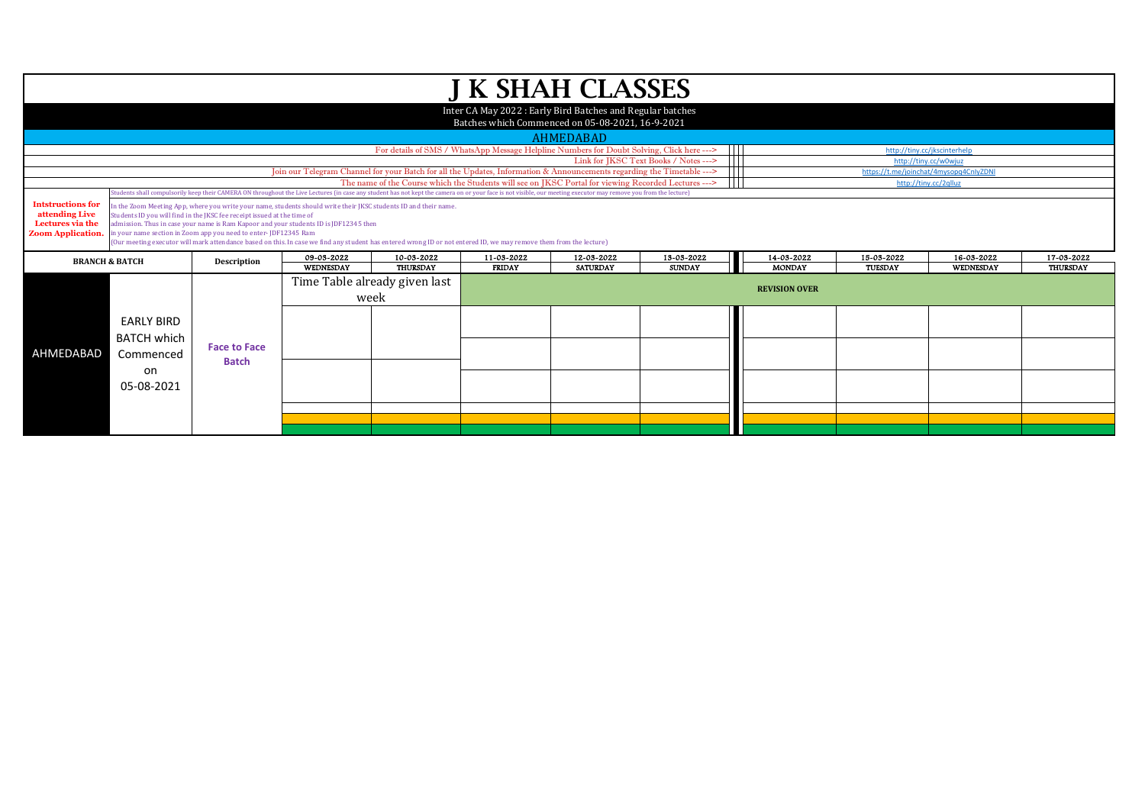|                                                                                            |                                                                                                                                                                                                                                                                                                                                                                                                                                                                                                                               |                     |            |                                                                                                                                                                                                                   |               | <b>J K SHAH CLASSES</b>                                    |                                                       |                      |            |                                                       |                 |
|--------------------------------------------------------------------------------------------|-------------------------------------------------------------------------------------------------------------------------------------------------------------------------------------------------------------------------------------------------------------------------------------------------------------------------------------------------------------------------------------------------------------------------------------------------------------------------------------------------------------------------------|---------------------|------------|-------------------------------------------------------------------------------------------------------------------------------------------------------------------------------------------------------------------|---------------|------------------------------------------------------------|-------------------------------------------------------|----------------------|------------|-------------------------------------------------------|-----------------|
|                                                                                            |                                                                                                                                                                                                                                                                                                                                                                                                                                                                                                                               |                     |            |                                                                                                                                                                                                                   |               | Inter CA May 2022 : Early Bird Batches and Regular batches |                                                       |                      |            |                                                       |                 |
|                                                                                            |                                                                                                                                                                                                                                                                                                                                                                                                                                                                                                                               |                     |            |                                                                                                                                                                                                                   |               | Batches which Commenced on 05-08-2021, 16-9-2021           |                                                       |                      |            |                                                       |                 |
|                                                                                            |                                                                                                                                                                                                                                                                                                                                                                                                                                                                                                                               |                     |            |                                                                                                                                                                                                                   |               | AHMEDABAD                                                  |                                                       |                      |            |                                                       |                 |
|                                                                                            |                                                                                                                                                                                                                                                                                                                                                                                                                                                                                                                               |                     |            | For details of SMS / WhatsApp Message Helpline Numbers for Doubt Solving, Click here --->                                                                                                                         |               |                                                            | $\mathbf{1}$<br>Link for JKSC Text Books / Notes ---> |                      |            | http://tiny.cc/jkscinterhelp<br>http://tiny.cc/w0wjuz |                 |
|                                                                                            |                                                                                                                                                                                                                                                                                                                                                                                                                                                                                                                               |                     |            | Join our Telegram Channel for your Batch for all the Updates, Information & Announcements regarding the Timetable --->                                                                                            |               |                                                            |                                                       |                      |            | https://t.me/joinchat/4mysopq4CnlyZDNI                |                 |
|                                                                                            |                                                                                                                                                                                                                                                                                                                                                                                                                                                                                                                               |                     |            | The name of the Course which the Students will see on JKSC Portal for viewing Recorded Lectures --->                                                                                                              |               |                                                            |                                                       |                      |            | http://tiny.cc/2qlluz                                 |                 |
|                                                                                            |                                                                                                                                                                                                                                                                                                                                                                                                                                                                                                                               |                     |            | (itudents shall compulsorily keep their CAMERA ON throughout the Live Lectures (in case any student has not kept the camera on or your face is not visible, our meeting executor may remove you from the lecture) |               |                                                            |                                                       |                      |            |                                                       |                 |
| <b>Intstructions for</b><br>attending Live<br>Lectures via the<br><b>Zoom Application.</b> | In the Zoom Meeting App, where you write your name, students should write their JKSC students ID and their name.<br>Students ID you will find in the JKSC fee receipt issued at the time of<br>admission. Thus in case your name is Ram Kapoor and your students ID is JDF12345 then<br>in your name section in Zoom app you need to enter-JDF12345 Ram<br>(Our meeting executor will mark attendance based on this. In case we find any student has entered wrong ID or not entered ID, we may remove them from the lecture) |                     |            |                                                                                                                                                                                                                   |               |                                                            |                                                       |                      |            |                                                       |                 |
|                                                                                            |                                                                                                                                                                                                                                                                                                                                                                                                                                                                                                                               |                     |            |                                                                                                                                                                                                                   |               |                                                            |                                                       |                      |            |                                                       |                 |
|                                                                                            | <b>BRANCH &amp; BATCH</b>                                                                                                                                                                                                                                                                                                                                                                                                                                                                                                     | Description         | 09-03-2022 | 10-03-2022                                                                                                                                                                                                        | 11-03-2022    | 12-03-2022                                                 | 13-03-2022                                            | 14-03-2022           | 15-03-2022 | 16-03-2022                                            | 17-03-2022      |
|                                                                                            |                                                                                                                                                                                                                                                                                                                                                                                                                                                                                                                               |                     | WEDNESDAY  | <b>THURSDAY</b>                                                                                                                                                                                                   | <b>FRIDAY</b> | <b>SATURDAY</b>                                            | <b>SUNDAY</b>                                         | <b>MONDAY</b>        | TUESDAY    | <b>WEDNESDAY</b>                                      | <b>THURSDAY</b> |
|                                                                                            |                                                                                                                                                                                                                                                                                                                                                                                                                                                                                                                               |                     |            | Time Table already given last                                                                                                                                                                                     |               |                                                            |                                                       | <b>REVISION OVER</b> |            |                                                       |                 |
|                                                                                            |                                                                                                                                                                                                                                                                                                                                                                                                                                                                                                                               |                     |            | week                                                                                                                                                                                                              |               |                                                            |                                                       |                      |            |                                                       |                 |
|                                                                                            | <b>EARLY BIRD</b>                                                                                                                                                                                                                                                                                                                                                                                                                                                                                                             |                     |            |                                                                                                                                                                                                                   |               |                                                            |                                                       |                      |            |                                                       |                 |
|                                                                                            | <b>BATCH which</b>                                                                                                                                                                                                                                                                                                                                                                                                                                                                                                            | <b>Face to Face</b> |            |                                                                                                                                                                                                                   |               |                                                            |                                                       |                      |            |                                                       |                 |
| AHMEDABAD                                                                                  | Commenced                                                                                                                                                                                                                                                                                                                                                                                                                                                                                                                     | <b>Batch</b>        |            |                                                                                                                                                                                                                   |               |                                                            |                                                       |                      |            |                                                       |                 |
|                                                                                            | on                                                                                                                                                                                                                                                                                                                                                                                                                                                                                                                            |                     |            |                                                                                                                                                                                                                   |               |                                                            |                                                       |                      |            |                                                       |                 |
|                                                                                            | 05-08-2021                                                                                                                                                                                                                                                                                                                                                                                                                                                                                                                    |                     |            |                                                                                                                                                                                                                   |               |                                                            |                                                       |                      |            |                                                       |                 |
|                                                                                            |                                                                                                                                                                                                                                                                                                                                                                                                                                                                                                                               |                     |            |                                                                                                                                                                                                                   |               |                                                            |                                                       |                      |            |                                                       |                 |
|                                                                                            |                                                                                                                                                                                                                                                                                                                                                                                                                                                                                                                               |                     |            |                                                                                                                                                                                                                   |               |                                                            |                                                       |                      |            |                                                       |                 |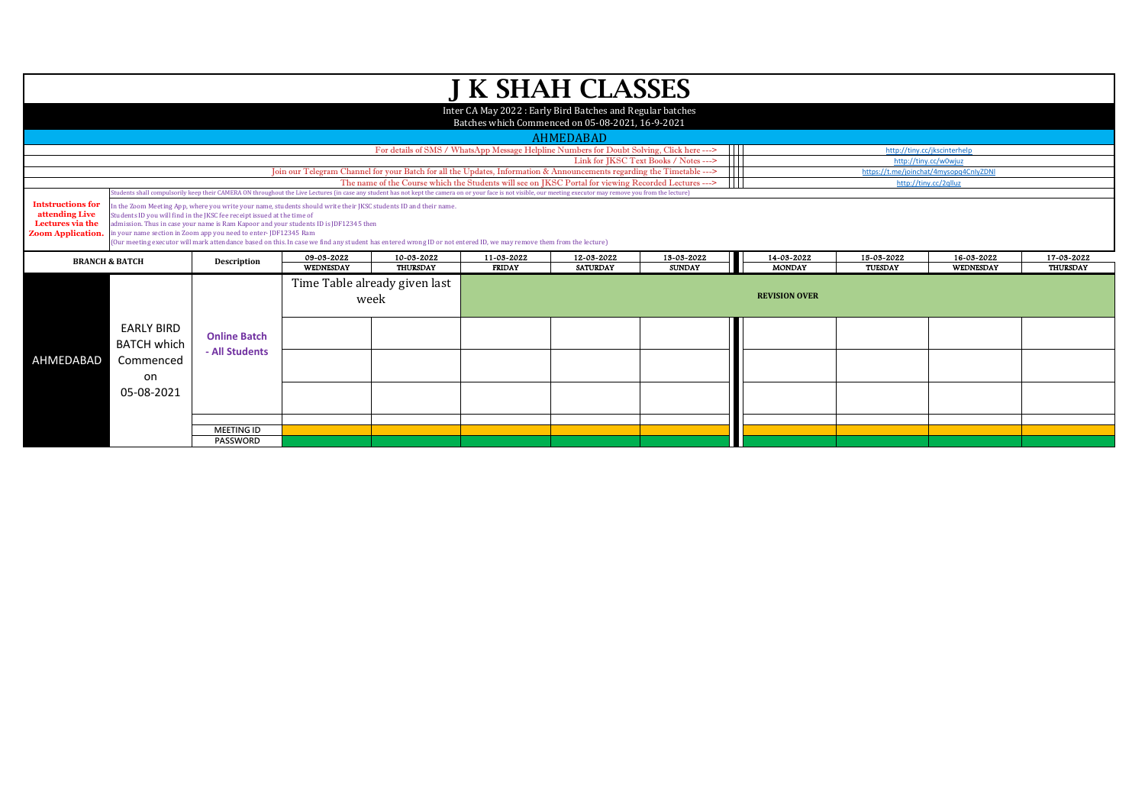|                                                                                            |                                                                                                                                                                                                                                                                                                                                                                                                                                                                                                                                                                                                                                                                                                                                                   |                                       |                  |                                                                                                                        |               | <b>J K SHAH CLASSES</b>                                                                                       |                                                |                      |            |                                                                 |                 |
|--------------------------------------------------------------------------------------------|---------------------------------------------------------------------------------------------------------------------------------------------------------------------------------------------------------------------------------------------------------------------------------------------------------------------------------------------------------------------------------------------------------------------------------------------------------------------------------------------------------------------------------------------------------------------------------------------------------------------------------------------------------------------------------------------------------------------------------------------------|---------------------------------------|------------------|------------------------------------------------------------------------------------------------------------------------|---------------|---------------------------------------------------------------------------------------------------------------|------------------------------------------------|----------------------|------------|-----------------------------------------------------------------|-----------------|
|                                                                                            |                                                                                                                                                                                                                                                                                                                                                                                                                                                                                                                                                                                                                                                                                                                                                   |                                       |                  |                                                                                                                        |               | Inter CA May 2022: Early Bird Batches and Regular batches<br>Batches which Commenced on 05-08-2021, 16-9-2021 |                                                |                      |            |                                                                 |                 |
|                                                                                            |                                                                                                                                                                                                                                                                                                                                                                                                                                                                                                                                                                                                                                                                                                                                                   |                                       |                  |                                                                                                                        |               |                                                                                                               |                                                |                      |            |                                                                 |                 |
|                                                                                            |                                                                                                                                                                                                                                                                                                                                                                                                                                                                                                                                                                                                                                                                                                                                                   |                                       |                  |                                                                                                                        |               | <b>AHMEDABAD</b>                                                                                              |                                                |                      |            |                                                                 |                 |
|                                                                                            |                                                                                                                                                                                                                                                                                                                                                                                                                                                                                                                                                                                                                                                                                                                                                   |                                       |                  |                                                                                                                        |               | For details of SMS / WhatsApp Message Helpline Numbers for Doubt Solving, Click here --->                     | - 111<br>Link for IKSC Text Books / Notes ---> |                      |            | http://tinv.cc/ikscinterhelp                                    |                 |
|                                                                                            |                                                                                                                                                                                                                                                                                                                                                                                                                                                                                                                                                                                                                                                                                                                                                   |                                       |                  | Join our Telegram Channel for your Batch for all the Updates, Information & Announcements regarding the Timetable ---> |               |                                                                                                               |                                                |                      |            | http://tiny.cc/w0wjuz<br>https://t.me/joinchat/4mysopq4CnlyZDNI |                 |
|                                                                                            |                                                                                                                                                                                                                                                                                                                                                                                                                                                                                                                                                                                                                                                                                                                                                   |                                       |                  | The name of the Course which the Students will see on JKSC Portal for viewing Recorded Lectures --->                   |               |                                                                                                               | $\mathsf{H}$                                   |                      |            | http://tiny.cc/2qlluz                                           |                 |
|                                                                                            |                                                                                                                                                                                                                                                                                                                                                                                                                                                                                                                                                                                                                                                                                                                                                   |                                       |                  |                                                                                                                        |               |                                                                                                               |                                                |                      |            |                                                                 |                 |
| <b>Intstructions for</b><br>attending Live<br>Lectures via the<br><b>Zoom Application.</b> | Students shall compulsorily keep their CAMERA ON throughout the Live Lectures (in case any student has not kept the camera on or your face is not visible, our meeting executor may remove you from the lecture)<br>In the Zoom Meeting App, where you write your name, students should write their JKSC students ID and their name.<br>Students ID you will find in the JKSC fee receipt issued at the time of<br>admission. Thus in case your name is Ram Kapoor and your students ID is JDF12345 then<br>in your name section in Zoom app you need to enter-JDF12345 Ram<br>(Our meeting executor will mark attendance based on this. In case we find any student has entered wrong ID or not entered ID, we may remove them from the lecture) |                                       |                  |                                                                                                                        |               |                                                                                                               |                                                |                      |            |                                                                 |                 |
|                                                                                            | <b>BRANCH &amp; BATCH</b>                                                                                                                                                                                                                                                                                                                                                                                                                                                                                                                                                                                                                                                                                                                         | Description                           | 09-03-2022       | 10-03-2022                                                                                                             | 11-03-2022    | 12-03-2022                                                                                                    | 13-03-2022                                     | 14-03-2022           | 15-03-2022 | 16-03-2022                                                      | 17-03-2022      |
|                                                                                            |                                                                                                                                                                                                                                                                                                                                                                                                                                                                                                                                                                                                                                                                                                                                                   |                                       | <b>WEDNESDAY</b> | <b>THURSDAY</b>                                                                                                        | <b>FRIDAY</b> | <b>SATURDAY</b>                                                                                               | <b>SUNDAY</b>                                  | <b>MONDAY</b>        | TUESDAY    | WEDNESDAY                                                       | <b>THURSDAY</b> |
|                                                                                            |                                                                                                                                                                                                                                                                                                                                                                                                                                                                                                                                                                                                                                                                                                                                                   |                                       |                  | Time Table already given last<br>week                                                                                  |               |                                                                                                               |                                                | <b>REVISION OVER</b> |            |                                                                 |                 |
|                                                                                            | <b>EARLY BIRD</b><br><b>BATCH which</b>                                                                                                                                                                                                                                                                                                                                                                                                                                                                                                                                                                                                                                                                                                           | <b>Online Batch</b><br>- All Students |                  |                                                                                                                        |               |                                                                                                               |                                                |                      |            |                                                                 |                 |
| AHMEDABAD                                                                                  | Commenced<br>on                                                                                                                                                                                                                                                                                                                                                                                                                                                                                                                                                                                                                                                                                                                                   |                                       |                  |                                                                                                                        |               |                                                                                                               |                                                |                      |            |                                                                 |                 |
|                                                                                            | 05-08-2021                                                                                                                                                                                                                                                                                                                                                                                                                                                                                                                                                                                                                                                                                                                                        |                                       |                  |                                                                                                                        |               |                                                                                                               |                                                |                      |            |                                                                 |                 |
|                                                                                            |                                                                                                                                                                                                                                                                                                                                                                                                                                                                                                                                                                                                                                                                                                                                                   |                                       |                  |                                                                                                                        |               |                                                                                                               |                                                |                      |            |                                                                 |                 |
|                                                                                            |                                                                                                                                                                                                                                                                                                                                                                                                                                                                                                                                                                                                                                                                                                                                                   | <b>MEETING ID</b>                     |                  |                                                                                                                        |               |                                                                                                               |                                                |                      |            |                                                                 |                 |
|                                                                                            |                                                                                                                                                                                                                                                                                                                                                                                                                                                                                                                                                                                                                                                                                                                                                   | <b>PASSWORD</b>                       |                  |                                                                                                                        |               |                                                                                                               |                                                |                      |            |                                                                 |                 |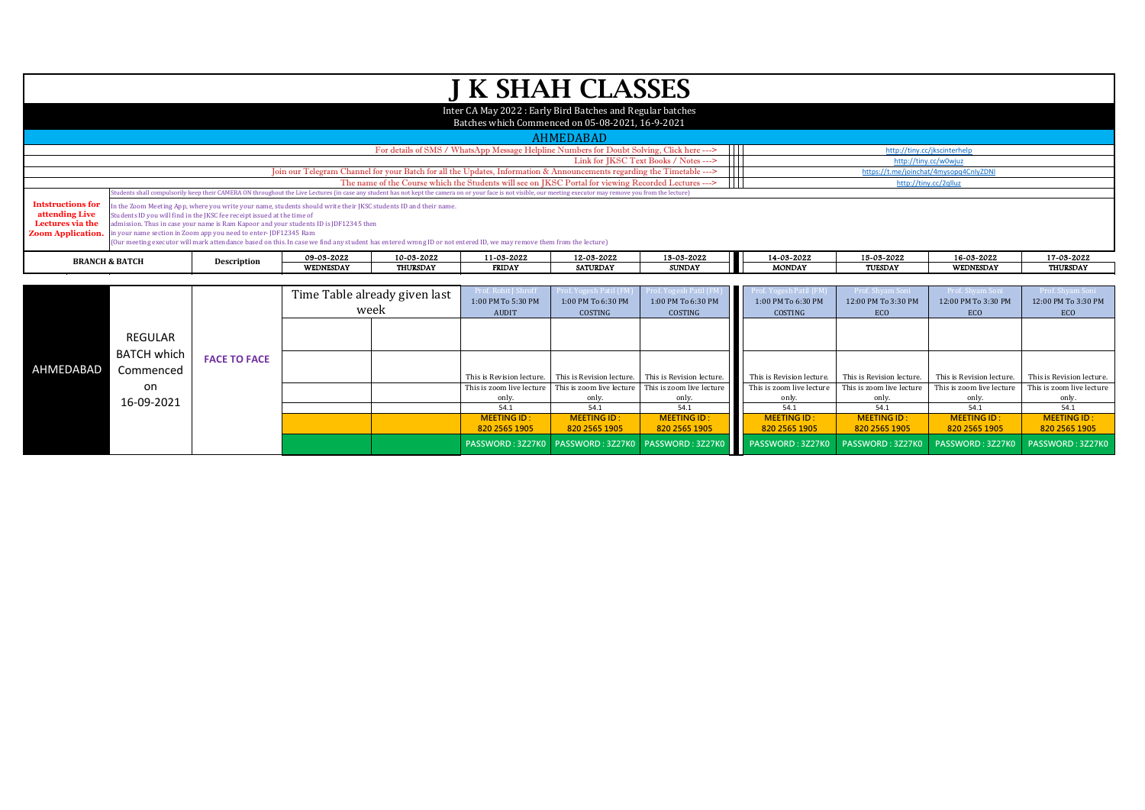|                                                                                            |                           |                                                                                                                                            |                                                                                                                                                                                                                                                                                                                                                                                 |                               |                    | <b>J K SHAH CLASSES</b>                                                                                                                                                                                          |                                       |                       |                              |                                        |                     |  |
|--------------------------------------------------------------------------------------------|---------------------------|--------------------------------------------------------------------------------------------------------------------------------------------|---------------------------------------------------------------------------------------------------------------------------------------------------------------------------------------------------------------------------------------------------------------------------------------------------------------------------------------------------------------------------------|-------------------------------|--------------------|------------------------------------------------------------------------------------------------------------------------------------------------------------------------------------------------------------------|---------------------------------------|-----------------------|------------------------------|----------------------------------------|---------------------|--|
|                                                                                            |                           |                                                                                                                                            |                                                                                                                                                                                                                                                                                                                                                                                 |                               |                    | Inter CA May 2022: Early Bird Batches and Regular batches<br>Batches which Commenced on 05-08-2021, 16-9-2021                                                                                                    |                                       |                       |                              |                                        |                     |  |
|                                                                                            |                           |                                                                                                                                            |                                                                                                                                                                                                                                                                                                                                                                                 |                               |                    | AHMEDABAD                                                                                                                                                                                                        |                                       |                       |                              |                                        |                     |  |
|                                                                                            |                           |                                                                                                                                            |                                                                                                                                                                                                                                                                                                                                                                                 |                               |                    | For details of SMS / WhatsApp Message Helpline Numbers for Doubt Solving, Click here --->                                                                                                                        | $\mathbf{1}$                          |                       | http://tiny.cc/jkscinterhelp |                                        |                     |  |
|                                                                                            |                           |                                                                                                                                            |                                                                                                                                                                                                                                                                                                                                                                                 |                               |                    |                                                                                                                                                                                                                  | Link for IKSC Text Books / Notes ---> |                       |                              | http://tiny.cc/w0wjuz                  |                     |  |
|                                                                                            |                           |                                                                                                                                            |                                                                                                                                                                                                                                                                                                                                                                                 |                               |                    | [oin our Telegram Channel for your Batch for all the Updates, Information & Announcements regarding the Timetable --->                                                                                           |                                       |                       |                              | https://t.me/joinchat/4mysopq4CnIyZDNI |                     |  |
|                                                                                            |                           |                                                                                                                                            |                                                                                                                                                                                                                                                                                                                                                                                 |                               |                    | The name of the Course which the Students will see on JKSC Portal for viewing Recorded Lectures --->                                                                                                             | Ш                                     |                       |                              | http://tiny.cc/2qlluz                  |                     |  |
|                                                                                            |                           |                                                                                                                                            |                                                                                                                                                                                                                                                                                                                                                                                 |                               |                    | Students shall compulsorily keep their CAMERA ON throughout the Live Lectures (in case any student has not kept the camera on or your face is not visible, our meeting executor may remove you from the lecture) |                                       |                       |                              |                                        |                     |  |
| <b>Intstructions for</b><br>attending Live<br>Lectures via the<br><b>Zoom Application.</b> |                           | Students ID you will find in the JKSC fee receipt issued at the time of<br>in your name section in Zoom app you need to enter-JDF12345 Ram | In the Zoom Meeting App, where you write your name, students should write their JKSC students ID and their name.<br>admission. Thus in case your name is Ram Kapoor and your students ID is JDF12345 then<br>(Our meeting executor will mark attendance based on this. In case we find any student has entered wrong ID or not entered ID, we may remove them from the lecture) |                               |                    |                                                                                                                                                                                                                  |                                       |                       |                              |                                        |                     |  |
|                                                                                            | <b>BRANCH &amp; BATCH</b> | Description                                                                                                                                | 09-03-2022                                                                                                                                                                                                                                                                                                                                                                      | 10-03-2022                    | 11-03-2022         | 12-03-2022                                                                                                                                                                                                       | 13-03-2022                            | 14-03-2022            | 15-03-2022                   | 16-03-2022                             | 17-03-2022          |  |
|                                                                                            |                           |                                                                                                                                            | <b>WEDNESDAY</b>                                                                                                                                                                                                                                                                                                                                                                | <b>THURSDAY</b>               | <b>FRIDAY</b>      | <b>SATURDAY</b>                                                                                                                                                                                                  | <b>SUNDAY</b>                         | <b>MONDAY</b>         | <b>TUESDAY</b>               | <b>WEDNESDAY</b>                       | <b>THURSDAY</b>     |  |
|                                                                                            |                           |                                                                                                                                            |                                                                                                                                                                                                                                                                                                                                                                                 |                               |                    |                                                                                                                                                                                                                  |                                       |                       |                              |                                        |                     |  |
|                                                                                            |                           |                                                                                                                                            |                                                                                                                                                                                                                                                                                                                                                                                 | Time Table already given last | Prof. Rohit J Shro | Prof. Yogesh Patil (FM)                                                                                                                                                                                          |                                       | of. Yogesh Patil (FM: | - Prof. Shvam Sc             | - Prof. Shvam Sc                       | Prof. Shvam Soni    |  |
|                                                                                            |                           |                                                                                                                                            |                                                                                                                                                                                                                                                                                                                                                                                 |                               | 1:00 PM To 5:30 PM | 1:00 PM To 6:30 PM                                                                                                                                                                                               | 1:00 PM To 6:30 PM                    | 1:00 PM To 6:30 PM    | 12:00 PM To 3:30 PM          | 12:00 PM To 3:30 PM                    | 12:00 PM To 3:30 PM |  |
|                                                                                            |                           |                                                                                                                                            | week                                                                                                                                                                                                                                                                                                                                                                            |                               | <b>AUDIT</b>       | COSTING                                                                                                                                                                                                          | COSTING                               | COSTING               | ECO                          | ECO                                    | <b>ECO</b>          |  |

This is zoom live lecture only.<br>54.1

**MEETING ID : 820 2565 1905** This is zoom live lecture only.<br>54.1

> **MEETING ID : 820 2565 1905**

This is zoom live lecture only.<br>54.1

> **MEETING ID : 820 2565 1905**

This is Revision lecture. This is Revision lecture. This is Revision lecture. This is Revision lecture. This is Revision lecture. This is Revision lecture. This is Revision lecture.

This is zoom live lecture only.<br>54.1

54.1 **54.1** 54.1 **54.1** 54.1 **54.1** 54.1 **54.1** 54.1 54.1

**PASSWORD : 3Z27K0 PASSWORD : 3Z27K0 PASSWORD : 3Z27K0 PASSWORD : 3Z27K0 PASSWORD : 3Z27K0 PASSWORD : 3Z27K0 PASSWORD : 3Z27K0**

**MEETING ID : 820 2565 1905** This is zoom live lecture only.<br>54.1

> **MEETING ID : 820 2565 1905**

This is zoom live lecture only.<br>54.1

> **MEETING ID : 820 2565 1905**

This is zoom live lecture only.<br>54.1

> **MEETING ID : 820 2565 1905**

REGULAR BATCH which Commenced 05-08-2021 on

16-09-2021

AHMEDABAD

**FACE TO FACE**